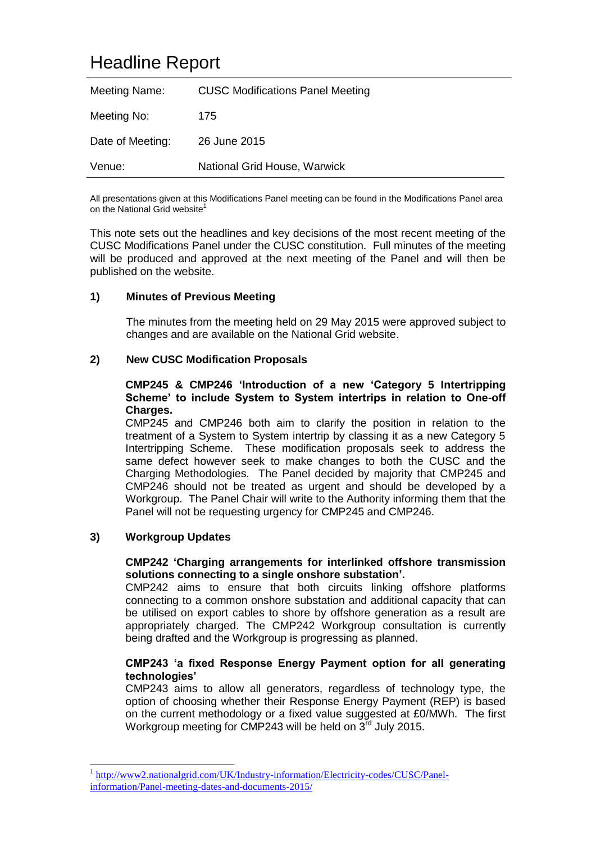# Headline Report

| Meeting Name:    | <b>CUSC Modifications Panel Meeting</b> |
|------------------|-----------------------------------------|
| Meeting No:      | 175                                     |
| Date of Meeting: | 26 June 2015                            |
| Venue:           | National Grid House, Warwick            |

All presentations given at this Modifications Panel meeting can be found in the Modifications Panel area on the National Grid website<sup>1</sup>

This note sets out the headlines and key decisions of the most recent meeting of the CUSC Modifications Panel under the CUSC constitution. Full minutes of the meeting will be produced and approved at the next meeting of the Panel and will then be published on the website.

### **1) Minutes of Previous Meeting**

The minutes from the meeting held on 29 May 2015 were approved subject to changes and are available on the National Grid website.

### **2) New CUSC Modification Proposals**

#### **CMP245 & CMP246 'Introduction of a new 'Category 5 Intertripping Scheme' to include System to System intertrips in relation to One-off Charges.**

CMP245 and CMP246 both aim to clarify the position in relation to the treatment of a System to System intertrip by classing it as a new Category 5 Intertripping Scheme. These modification proposals seek to address the same defect however seek to make changes to both the CUSC and the Charging Methodologies. The Panel decided by majority that CMP245 and CMP246 should not be treated as urgent and should be developed by a Workgroup. The Panel Chair will write to the Authority informing them that the Panel will not be requesting urgency for CMP245 and CMP246.

### **3) Workgroup Updates**

-

#### **CMP242 'Charging arrangements for interlinked offshore transmission solutions connecting to a single onshore substation'.**

CMP242 aims to ensure that both circuits linking offshore platforms connecting to a common onshore substation and additional capacity that can be utilised on export cables to shore by offshore generation as a result are appropriately charged. The CMP242 Workgroup consultation is currently being drafted and the Workgroup is progressing as planned.

### **CMP243 'a fixed Response Energy Payment option for all generating technologies'**

CMP243 aims to allow all generators, regardless of technology type, the option of choosing whether their Response Energy Payment (REP) is based on the current methodology or a fixed value suggested at £0/MWh. The first Workgroup meeting for CMP243 will be held on  $3^{rd}$  July 2015.

<sup>1</sup> [http://www2.nationalgrid.com/UK/Industry-information/Electricity-codes/CUSC/Panel](http://www2.nationalgrid.com/UK/Industry-information/Electricity-codes/CUSC/Panel-information/Panel-meeting-dates-and-documents-2015/)[information/Panel-meeting-dates-and-documents-2015/](http://www2.nationalgrid.com/UK/Industry-information/Electricity-codes/CUSC/Panel-information/Panel-meeting-dates-and-documents-2015/)